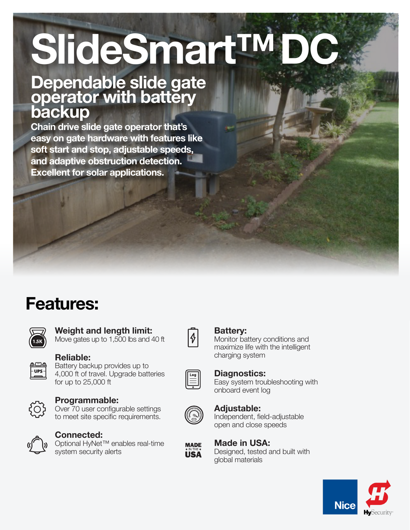# SlideSmart™

# Dependable slide gate operator with battery backup

Chain drive slide gate operator that's easy on gate hardware with features like soft start and stop, adjustable speeds, and adaptive obstruction detection. Excellent for solar applications.

# Features:

Reliable:



UPS-

## Weight and length limit:

Battery backup provides up to 4,000 ft of travel. Upgrade batteries

Move gates up to 1,500 lbs and 40 ft



#### Battery:

Monitor battery conditions and maximize life with the intelligent charging system



#### Diagnostics:

Easy system troubleshooting with onboard event log



#### Adjustable:

Independent, field-adjustable open and close speeds

# Made in USA:

Designed, tested and built with global materials





#### Programmable:

for up to 25,000 ft

Over 70 user configurable settings to meet site specific requirements.



## Connected:

Optional HyNet™ enables real-time system security alerts